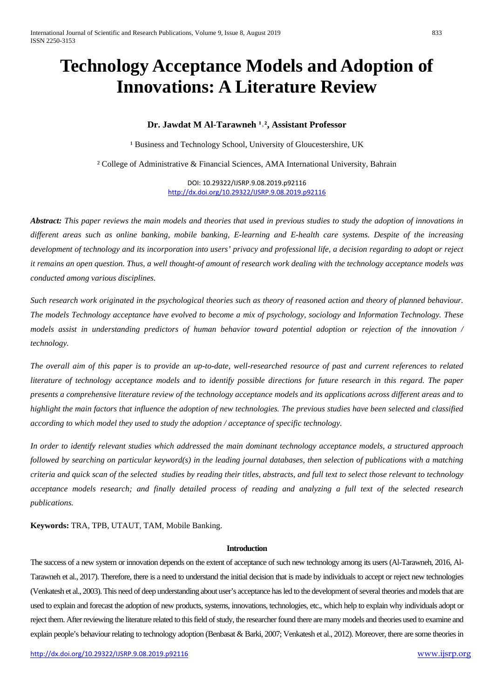# **Technology Acceptance Models and Adoption of Innovations: A Literature Review**

# **Dr. Jawdat M Al-Tarawneh <sup>1,2</sup>, Assistant Professor**

<sup>1</sup> Business and Technology School, University of Gloucestershire, UK

² College of Administrative & Financial Sciences, AMA International University, Bahrain

DOI: 10.29322/IJSRP.9.08.2019.p92116 <http://dx.doi.org/10.29322/IJSRP.9.08.2019.p92116>

*Abstract: This paper reviews the main models and theories that used in previous studies to study the adoption of innovations in different areas such as online banking, mobile banking, E-learning and E-health care systems. Despite of the increasing development of technology and its incorporation into users' privacy and professional life, a decision regarding to adopt or reject it remains an open question. Thus, a well thought-of amount of research work dealing with the technology acceptance models was conducted among various disciplines.* 

*Such research work originated in the psychological theories such as theory of reasoned action and theory of planned behaviour. The models Technology acceptance have evolved to become a mix of psychology, sociology and Information Technology. These models assist in understanding predictors of human behavior toward potential adoption or rejection of the innovation / technology.* 

*The overall aim of this paper is to provide an up-to-date, well-researched resource of past and current references to related literature of technology acceptance models and to identify possible directions for future research in this regard. The paper presents a comprehensive literature review of the technology acceptance models and its applications across different areas and to highlight the main factors that influence the adoption of new technologies. The previous studies have been selected and classified according to which model they used to study the adoption / acceptance of specific technology.* 

*In order to identify relevant studies which addressed the main dominant technology acceptance models, a structured approach followed by searching on particular keyword(s) in the leading journal databases, then selection of publications with a matching criteria and quick scan of the selected studies by reading their titles, abstracts, and full text to select those relevant to technology acceptance models research; and finally detailed process of reading and analyzing a full text of the selected research publications.* 

**Keywords:** TRA, TPB, UTAUT, TAM, Mobile Banking.

# **Introduction**

The success of a new system or innovation depends on the extent of acceptance of such new technology among its users(Al-Tarawneh, 2016, Al-Tarawneh et al., 2017). Therefore, there is a need to understand the initial decision that is made by individuals to accept or reject new technologies (Venkatesh et al., 2003). This need of deep understanding about user's acceptance has led to the development of several theories and models that are used to explain and forecast the adoption of new products, systems, innovations, technologies, etc., which help to explain why individuals adopt or reject them. After reviewing the literature related to this field of study, the researcher found there are many models and theories used to examine and explain people's behaviour relating to technology adoption (Benbasat & Barki, 2007; Venkatesh et al., 2012). Moreover, there are some theories in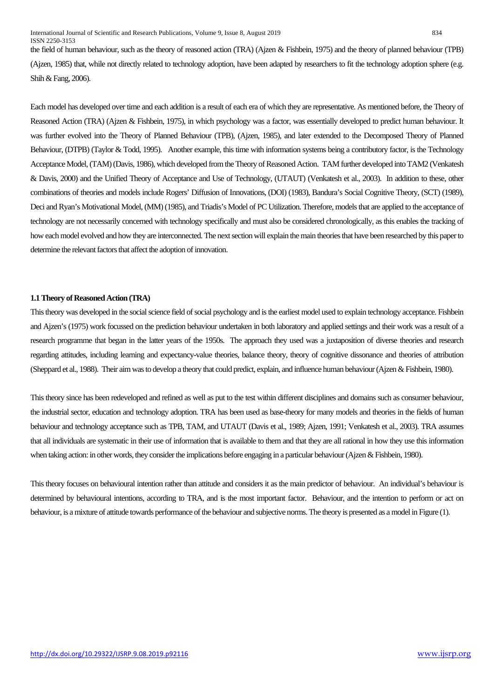the field of human behaviour, such as the theory of reasoned action (TRA) (Ajzen & Fishbein, 1975) and the theory of planned behaviour (TPB) (Ajzen, 1985) that, while not directly related to technology adoption, have been adapted by researchers to fit the technology adoption sphere (e.g. Shih & Fang, 2006).

Each model has developed over time and each addition is a result of each era of which they are representative. As mentioned before, the Theory of Reasoned Action (TRA) (Ajzen & Fishbein, 1975), in which psychology was a factor, was essentially developed to predict human behaviour. It was further evolved into the Theory of Planned Behaviour (TPB), (Ajzen, 1985), and later extended to the Decomposed Theory of Planned Behaviour, (DTPB) (Taylor & Todd, 1995). Another example, this time with information systems being a contributory factor, is the Technology Acceptance Model, (TAM) (Davis, 1986), which developed from the Theory of Reasoned Action. TAM further developed into TAM2 (Venkatesh & Davis, 2000) and the Unified Theory of Acceptance and Use of Technology, (UTAUT) (Venkatesh et al., 2003). In addition to these, other combinations of theories and models include Rogers' Diffusion of Innovations, (DOI) (1983), Bandura's Social Cognitive Theory, (SCT) (1989), Deci and Ryan's Motivational Model, (MM) (1985), and Triadis's Model of PC Utilization. Therefore, models that are applied to the acceptance of technology are not necessarily concerned with technology specifically and must also be considered chronologically, as this enables the tracking of how each model evolved and how they are interconnected. The next section will explain the main theories that have been researched by this paperto determine the relevant factors that affect the adoption of innovation.

#### **1.1 Theory of Reasoned Action (TRA)**

This theory was developed in the social science field of social psychology and is the earliest model used to explain technology acceptance. Fishbein and Ajzen's (1975) work focussed on the prediction behaviour undertaken in both laboratory and applied settings and their work was a result of a research programme that began in the latter years of the 1950s. The approach they used was a juxtaposition of diverse theories and research regarding attitudes, including learning and expectancy-value theories, balance theory, theory of cognitive dissonance and theories of attribution (Sheppard et al., 1988). Their aim was to develop a theory that could predict, explain, and influence human behaviour (Ajzen& Fishbein, 1980).

This theory since has been redeveloped and refined as well as put to the test within different disciplines and domains such as consumer behaviour, the industrial sector, education and technology adoption. TRA has been used as base-theory for many models and theories in the fields of human behaviour and technology acceptance such as TPB, TAM, and UTAUT (Davis et al., 1989; Ajzen, 1991; Venkatesh et al., 2003). TRA assumes that all individuals are systematic in their use of information that is available to them and that they are all rational in how they use this information when taking action: in other words, they consider the implications before engaging in a particular behaviour (Ajzen & Fishbein, 1980).

This theory focuses on behavioural intention rather than attitude and considers it as the main predictor of behaviour. An individual's behaviour is determined by behavioural intentions, according to TRA, and is the most important factor. Behaviour, and the intention to perform or act on behaviour, is a mixture of attitude towards performance of the behaviour and subjective norms. The theory is presented as a model in Figure (1).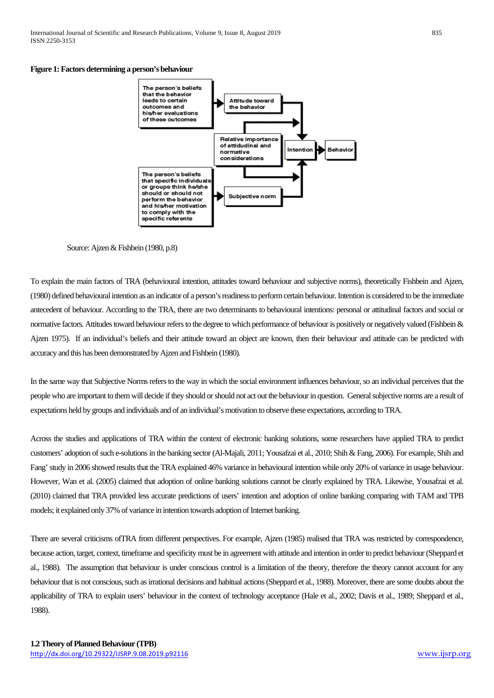

#### Source: Ajzen & Fishbein (1980, p.8)

To explain the main factors of TRA (behavioural intention, attitudes toward behaviour and subjective norms), theoretically Fishbein and Ajzen, (1980) defined behavioural intention as an indicator of a person's readiness to perform certain behaviour. Intention is considered to be the immediate antecedent of behaviour. According to the TRA, there are two determinants to behavioural intentions: personal or attitudinal factors and social or normative factors. Attitudes toward behaviour refers to the degree to which performance of behaviour is positively or negatively valued (Fishbein & Ajzen 1975). If an individual's beliefs and their attitude toward an object are known, then their behaviour and attitude can be predicted with accuracy and this has been demonstrated by Ajzen and Fishbein (1980).

In the same way that Subjective Norms refers to the way in which the social environment influences behaviour, so an individual perceives that the people who are important to them will decide if they should or should not act out the behaviour in question. General subjective norms are a result of expectations held by groups and individuals and of an individual's motivation to observe these expectations, according to TRA.

Across the studies and applications of TRA within the context of electronic banking solutions, some researchers have applied TRA to predict customers' adoption of such e-solutions in the banking sector (Al-Majali, 2011; Yousafzai et al., 2010; Shih & Fang, 2006). For example, Shih and Fang' study in 2006 showed results that the TRA explained 46% variance in behavioural intention while only 20% of variance in usage behaviour. However, Wan et al. (2005) claimed that adoption of online banking solutions cannot be clearly explained by TRA. Likewise, Yousafzai et al. (2010) claimed that TRA provided less accurate predictions of users' intention and adoption of online banking comparing with TAM and TPB models; it explained only 37% of variance in intention towards adoption of Internet banking.

There are several criticisms ofTRA from different perspectives. For example, Ajzen (1985) realised that TRA was restricted by correspondence, because action, target, context, timeframe and specificity must be in agreement with attitude and intention in order to predict behaviour (Sheppard et al., 1988). The assumption that behaviour is under conscious control is a limitation of the theory, therefore the theory cannot account for any behaviour that is not conscious, such as irrational decisions and habitual actions (Sheppard et al., 1988). Moreover, there are some doubts about the applicability of TRA to explain users' behaviour in the context of technology acceptance (Hale et al., 2002; Davis et al., 1989; Sheppard et al., 1988).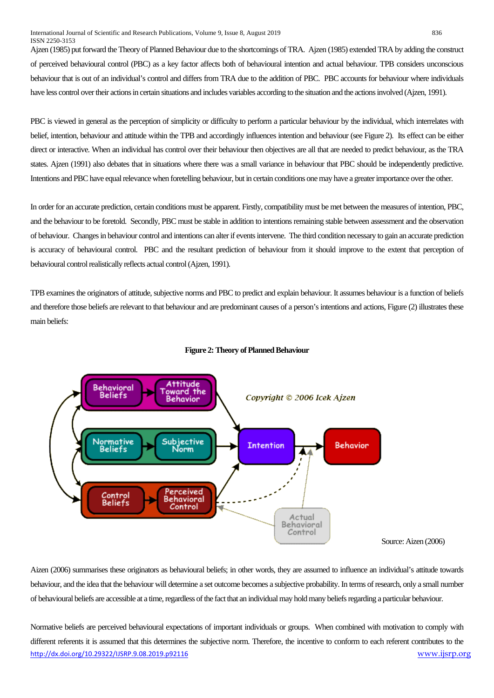Ajzen (1985) put forward the Theory of Planned Behaviour due to the shortcomings of TRA. Ajzen (1985) extended TRA by adding the construct of perceived behavioural control (PBC) as a key factor affects both of behavioural intention and actual behaviour. TPB considers unconscious behaviour that is out of an individual's control and differs from TRA due to the addition of PBC. PBC accounts for behaviour where individuals have less control over their actions in certain situations and includes variables according to the situation and the actions involved (Ajzen, 1991).

PBC is viewed in general as the perception of simplicity or difficulty to perform a particular behaviour by the individual, which interrelates with belief, intention, behaviour and attitude within the TPB and accordingly influences intention and behaviour (see Figure 2). Its effect can be either direct or interactive. When an individual has control over their behaviour then objectives are all that are needed to predict behaviour, as the TRA states. Ajzen (1991) also debates that in situations where there was a small variance in behaviour that PBC should be independently predictive. Intentions and PBC have equal relevance when foretelling behaviour, but in certain conditions one may have a greater importance over the other.

In order for an accurate prediction, certain conditions must be apparent. Firstly, compatibility must be met between the measures of intention, PBC, and the behaviour to be foretold. Secondly, PBC must be stable in addition to intentions remaining stable between assessment and the observation of behaviour. Changes in behaviour control and intentions can alter if events intervene. The third condition necessary to gain an accurate prediction is accuracy of behavioural control. PBC and the resultant prediction of behaviour from it should improve to the extent that perception of behavioural control realistically reflects actual control (Ajzen, 1991).

TPB examines the originators of attitude, subjective norms and PBC to predict and explain behaviour. It assumes behaviour is a function of beliefs and therefore those beliefs are relevant to that behaviour and are predominant causes of a person's intentions and actions, Figure (2) illustrates these main beliefs:



#### **Figure 2: Theory of Planned Behaviour**

Source: Aizen (2006)

Aizen (2006) summarises these originators as behavioural beliefs; in other words, they are assumed to influence an individual's attitude towards behaviour, and the idea that the behaviour will determine a set outcome becomes a subjective probability. In terms of research, only a small number of behavioural beliefs are accessible at a time, regardless of the fact that an individual may hold many beliefs regarding a particular behaviour.

<http://dx.doi.org/10.29322/IJSRP.9.08.2019.p92116> [www.ijsrp.org](http://ijsrp.org/) Normative beliefs are perceived behavioural expectations of important individuals or groups. When combined with motivation to comply with different referents it is assumed that this determines the subjective norm. Therefore, the incentive to conform to each referent contributes to the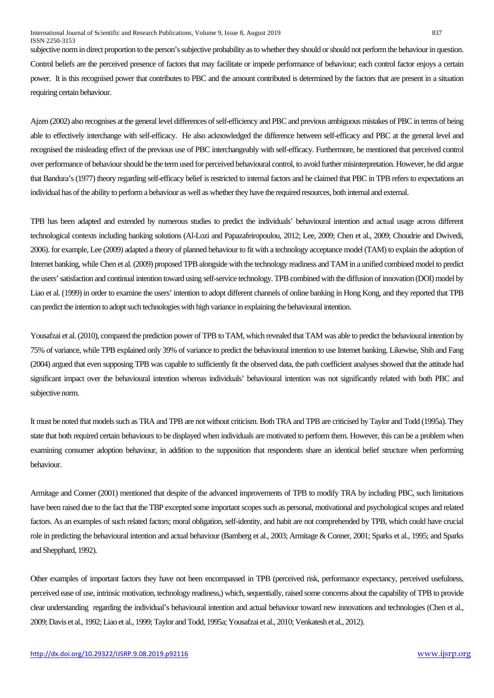subjective norm in direct proportion to the person's subjective probability as to whether they should or should not perform the behaviour in question. Control beliefs are the perceived presence of factors that may facilitate or impede performance of behaviour; each control factor enjoys a certain power. It is this recognised power that contributes to PBC and the amount contributed is determined by the factors that are present in a situation requiring certain behaviour.

Ajzen (2002) also recognises at the general level differences of self-efficiency and PBC and previous ambiguous mistakes of PBC in terms of being able to effectively interchange with self-efficacy. He also acknowledged the difference between self-efficacy and PBC at the general level and recognised the misleading effect of the previous use of PBC interchangeably with self-efficacy. Furthermore, he mentioned that perceived control over performance of behaviour should be the term used for perceived behavioural control, to avoid further misinterpretation. However, he did argue that Bandura's (1977) theory regarding self-efficacy belief is restricted to internal factors and he claimed that PBC in TPB refers to expectations an individual has of the ability to perform a behaviour as well as whether they have the required resources, both internal and external.

TPB has been adapted and extended by numerous studies to predict the individuals' behavioural intention and actual usage across different technological contexts including banking solutions (Al-Lozi and Papazafeiropoulou, 2012; Lee, 2009; Chen et al., 2009; Choudrie and Dwivedi, 2006). for example, Lee (2009) adapted a theory of planned behaviour to fit with a technology acceptance model (TAM) to explain the adoption of Internet banking, while Chen et al. (2009) proposed TPB alongside with the technology readiness and TAM in a unified combined model to predict the users' satisfaction and continual intention toward using self-service technology. TPB combined with the diffusion of innovation (DOI) model by Liao et al. (1999) in order to examine the users' intention to adopt different channels of online banking in Hong Kong, and they reported that TPB can predict the intention to adopt such technologies with high variance in explaining the behavioural intention.

Yousafzai et al. (2010), compared the prediction power of TPB to TAM, which revealed that TAM was able to predict the behavioural intention by 75% of variance, while TPB explained only 39% of variance to predict the behavioural intention to use Internet banking. Likewise, Shih and Fang (2004) argued that even supposing TPB was capable to sufficiently fit the observed data, the path coefficient analyses showed that the attitude had significant impact over the behavioural intention whereas individuals' behavioural intention was not significantly related with both PBC and subjective norm.

It must be noted that models such as TRA and TPB are not without criticism. Both TRA and TPB are criticised by Taylor and Todd (1995a). They state that both required certain behaviours to be displayed when individuals are motivated to perform them. However, this can be a problem when examining consumer adoption behaviour, in addition to the supposition that respondents share an identical belief structure when performing behaviour.

Armitage and Conner (2001) mentioned that despite of the advanced improvements of TPB to modify TRA by including PBC, such limitations have been raised due to the fact that the TBP excepted some important scopes such as personal, motivational and psychological scopes and related factors. As an examples of such related factors; moral obligation, self-identity, and habit are not comprehended by TPB, which could have crucial role in predicting the behavioural intention and actual behaviour (Bamberg et al., 2003; Armitage & Conner, 2001; Sparks et al., 1995; and Sparks and Shepphard, 1992).

Other examples of important factors they have not been encompassed in TPB (perceived risk, performance expectancy, perceived usefulness, perceived ease of use, intrinsic motivation, technology readiness,) which, sequentially, raised some concerns about the capability of TPB to provide clear understanding regarding the individual's behavioural intention and actual behaviour toward new innovations and technologies (Chen et al., 2009; Davis et al., 1992; Liao et al., 1999; Taylor and Todd, 1995a; Yousafzai et al., 2010; Venkatesh et al., 2012).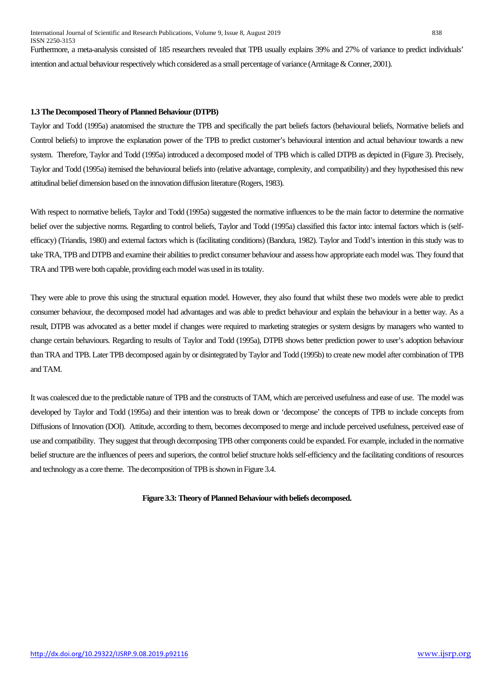Furthermore, a meta-analysis consisted of 185 researchers revealed that TPB usually explains 39% and 27% of variance to predict individuals' intention and actual behaviour respectively which considered as a small percentage of variance (Armitage & Conner, 2001).

#### **1.3 The Decomposed Theory of Planned Behaviour (DTPB)**

Taylor and Todd (1995a) anatomised the structure the TPB and specifically the part beliefs factors (behavioural beliefs, Normative beliefs and Control beliefs) to improve the explanation power of the TPB to predict customer's behavioural intention and actual behaviour towards a new system. Therefore, Taylor and Todd (1995a) introduced a decomposed model of TPB which is called DTPB as depicted in (Figure 3). Precisely, Taylor and Todd (1995a) itemised the behavioural beliefs into (relative advantage, complexity, and compatibility) and they hypothesised this new attitudinal belief dimension based on the innovation diffusion literature (Rogers, 1983).

With respect to normative beliefs, Taylor and Todd (1995a) suggested the normative influences to be the main factor to determine the normative belief over the subjective norms. Regarding to control beliefs, Taylor and Todd (1995a) classified this factor into: internal factors which is (selfefficacy) (Triandis, 1980) and external factors which is (facilitating conditions) (Bandura, 1982). Taylor and Todd's intention in this study was to take TRA, TPB and DTPB and examine their abilities to predict consumer behaviour and assess how appropriate each model was. They found that TRA and TPB were both capable, providing each model was used in its totality.

They were able to prove this using the structural equation model. However, they also found that whilst these two models were able to predict consumer behaviour, the decomposed model had advantages and was able to predict behaviour and explain the behaviour in a better way. As a result, DTPB was advocated as a better model if changes were required to marketing strategies or system designs by managers who wanted to change certain behaviours. Regarding to results of Taylor and Todd (1995a), DTPB shows better prediction power to user's adoption behaviour than TRA and TPB. Later TPB decomposed again by or disintegrated by Taylor and Todd (1995b) to create new model after combination of TPB and TAM.

It was coalesced due to the predictable nature of TPB and the constructs of TAM, which are perceived usefulness and ease of use. The model was developed by Taylor and Todd (1995a) and their intention was to break down or 'decompose' the concepts of TPB to include concepts from Diffusions of Innovation (DOI). Attitude, according to them, becomes decomposed to merge and include perceived usefulness, perceived ease of use and compatibility. They suggest that through decomposing TPB other components could be expanded. For example, included in the normative belief structure are the influences of peers and superiors, the control belief structure holds self-efficiency and the facilitating conditions of resources and technology as a core theme. The decomposition of TPB is shown in Figure 3.4.

**Figure 3.3: Theory of Planned Behaviour with beliefs decomposed.**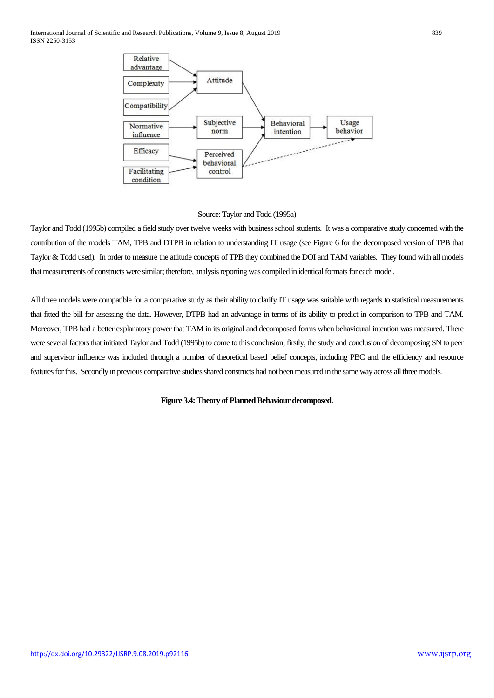

Source: Taylor and Todd (1995a)

Taylor and Todd (1995b) compiled a field study over twelve weeks with business school students. It was a comparative study concerned with the contribution of the models TAM, TPB and DTPB in relation to understanding IT usage (see Figure 6 for the decomposed version of TPB that Taylor & Todd used). In order to measure the attitude concepts of TPB they combined the DOI and TAM variables. They found with all models that measurements of constructs were similar; therefore, analysis reporting was compiled in identical formats for each model.

All three models were compatible for a comparative study as their ability to clarify IT usage was suitable with regards to statistical measurements that fitted the bill for assessing the data. However, DTPB had an advantage in terms of its ability to predict in comparison to TPB and TAM. Moreover, TPB had a better explanatory power that TAM in its original and decomposed forms when behavioural intention was measured. There were several factors that initiated Taylor and Todd (1995b) to come to this conclusion; firstly, the study and conclusion of decomposing SN to peer and supervisor influence was included through a number of theoretical based belief concepts, including PBC and the efficiency and resource features for this. Secondly in previous comparative studies shared constructs had not been measured in the same way across all three models.

**Figure 3.4: Theory of Planned Behaviour decomposed.**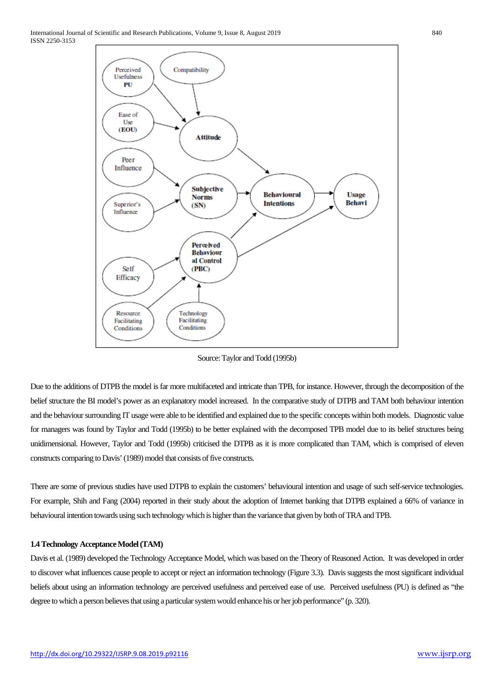

Source: Taylor and Todd (1995b)

Due to the additions of DTPB the model is far more multifaceted and intricate than TPB, for instance. However, through the decomposition of the belief structure the BI model's power as an explanatory model increased. In the comparative study of DTPB and TAM both behaviour intention and the behaviour surrounding IT usage were able to be identified and explained due to the specific concepts within both models. Diagnostic value for managers was found by Taylor and Todd (1995b) to be better explained with the decomposed TPB model due to its belief structures being unidimensional. However, Taylor and Todd (1995b) criticised the DTPB as it is more complicated than TAM, which is comprised of eleven constructs comparing to Davis' (1989) model that consists of five constructs.

There are some of previous studies have used DTPB to explain the customers' behavioural intention and usage of such self-service technologies. For example, Shih and Fang (2004) reported in their study about the adoption of Internet banking that DTPB explained a 66% of variance in behavioural intention towards using such technology which is higher than the variance that given by both of TRA and TPB.

### **1.4 Technology Acceptance Model (TAM)**

Davis et al. (1989) developed the Technology Acceptance Model, which was based on the Theory of Reasoned Action. It was developed in order to discover what influences cause people to accept or reject an information technology (Figure 3.3). Davis suggests the most significant individual beliefs about using an information technology are perceived usefulness and perceived ease of use. Perceived usefulness (PU) is defined as "the degree to which a person believes that using a particular system would enhance his or her job performance" (p. 320).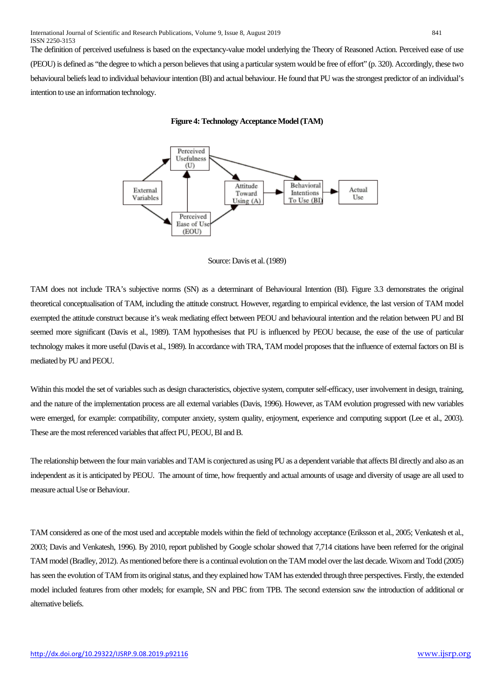The definition of perceived usefulness is based on the expectancy-value model underlying the Theory of Reasoned Action. Perceived ease of use (PEOU) is defined as "the degree to which a person believes that using a particular system would be free of effort" (p. 320). Accordingly, these two behavioural beliefs lead to individual behaviour intention (BI) and actual behaviour. He found that PU was the strongest predictor of an individual's intention to use an information technology.





Source: Davis et al. (1989)

TAM does not include TRA's subjective norms (SN) as a determinant of Behavioural Intention (BI). Figure 3.3 demonstrates the original theoretical conceptualisation of TAM, including the attitude construct. However, regarding to empirical evidence, the last version of TAM model exempted the attitude construct because it's weak mediating effect between PEOU and behavioural intention and the relation between PU and BI seemed more significant (Davis et al., 1989). TAM hypothesises that PU is influenced by PEOU because, the ease of the use of particular technology makes it more useful (Davis et al., 1989). In accordance with TRA, TAM model proposes that the influence of external factors on BI is mediated by PU and PEOU.

Within this model the set of variables such as design characteristics, objective system, computer self-efficacy, user involvement in design, training, and the nature of the implementation process are all external variables (Davis, 1996). However, as TAM evolution progressed with new variables were emerged, for example: compatibility, computer anxiety, system quality, enjoyment, experience and computing support (Lee et al., 2003). These are the most referenced variables that affect PU, PEOU, BI and B.

The relationship between the four main variables and TAM is conjectured as using PU as a dependent variable that affects BI directly and also as an independent as it is anticipated by PEOU. The amount of time, how frequently and actual amounts of usage and diversity of usage are all used to measure actual Use or Behaviour.

TAM considered as one of the most used and acceptable models within the field of technology acceptance (Eriksson et al., 2005; Venkatesh et al., 2003; Davis and Venkatesh, 1996). By 2010, report published by Google scholar showed that 7,714 citations have been referred for the original TAM model (Bradley, 2012). As mentioned before there is a continual evolution on the TAM model over the last decade. Wixom and Todd (2005) has seen the evolution of TAM from its original status, and they explained how TAM has extended through three perspectives. Firstly, the extended model included features from other models; for example, SN and PBC from TPB. The second extension saw the introduction of additional or alternative beliefs.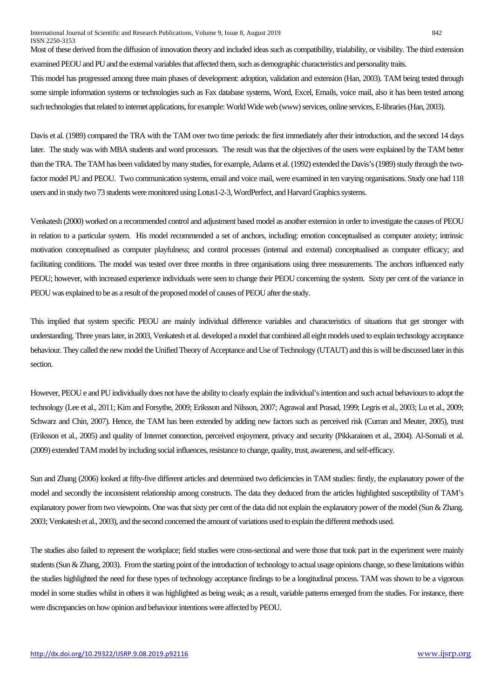Most of these derived from the diffusion of innovation theory and included ideas such as compatibility, trialability, or visibility. The third extension examined PEOU and PU and the external variables that affected them, such as demographic characteristics and personality traits.

This model has progressed among three main phases of development: adoption, validation and extension (Han, 2003). TAM being tested through some simple information systems or technologies such as Fax database systems, Word, Excel, Emails, voice mail, also it has been tested among such technologies that related to internet applications, for example: World Wide web (www) services, online services, E-libraries (Han, 2003).

Davis et al. (1989) compared the TRA with the TAM over two time periods: the first immediately after their introduction, and the second 14 days later. The study was with MBA students and word processors. The result was that the objectives of the users were explained by the TAM better than the TRA. The TAM has been validated by many studies, for example, Adams et al. (1992) extended the Davis's (1989) study through the twofactor model PU and PEOU. Two communication systems, email and voice mail, were examined in ten varying organisations. Study one had 118 users and in study two 73 students were monitored using Lotus1-2-3, WordPerfect, and Harvard Graphics systems.

Venkatesh (2000) worked on a recommended control and adjustment based model as another extension in order to investigate the causes of PEOU in relation to a particular system. His model recommended a set of anchors, including: emotion conceptualised as computer anxiety; intrinsic motivation conceptualised as computer playfulness; and control processes (internal and external) conceptualised as computer efficacy; and facilitating conditions. The model was tested over three months in three organisations using three measurements. The anchors influenced early PEOU; however, with increased experience individuals were seen to change their PEOU concerning the system. Sixty per cent of the variance in PEOU was explained to be as a result of the proposed model of causes of PEOU after the study.

This implied that system specific PEOU are mainly individual difference variables and characteristics of situations that get stronger with understanding. Three years later, in 2003, Venkatesh et al. developed a model that combined all eight models used to explain technology acceptance behaviour. They called the new model the Unified Theory of Acceptance and Use of Technology (UTAUT) and this is will be discussed later in this section.

However, PEOU e and PU individually does not have the ability to clearly explain the individual's intention and such actual behaviours to adopt the technology (Lee et al., 2011; Kim and Forsythe, 2009; Eriksson and Nilsson, 2007; Agrawal and Prasad, 1999; Legris et al., 2003; Lu et al., 2009; Schwarz and Chin, 2007). Hence, the TAM has been extended by adding new factors such as perceived risk (Curran and Meuter, 2005), trust (Eriksson et al., 2005) and quality of Internet connection, perceived enjoyment, privacy and security (Pikkarainen et al., 2004). Al-Somali et al. (2009) extended TAM model by including social influences, resistance to change, quality, trust, awareness, and self-efficacy.

Sun and Zhang (2006) looked at fifty-five different articles and determined two deficiencies in TAM studies: firstly, the explanatory power of the model and secondly the inconsistent relationship among constructs. The data they deduced from the articles highlighted susceptibility of TAM's explanatory power from two viewpoints. One was that sixty per cent of the data did not explanatory power of the model (Sun & Zhang. 2003; Venkatesh et al., 2003), and the second concerned the amount of variations used to explain the different methods used.

The studies also failed to represent the workplace; field studies were cross-sectional and were those that took part in the experiment were mainly students (Sun & Zhang, 2003). From the starting point of the introduction of technology to actual usage opinions change, so these limitations within the studies highlighted the need for these types of technology acceptance findings to be a longitudinal process. TAM was shown to be a vigorous model in some studies whilst in others it was highlighted as being weak; as a result, variable patterns emerged from the studies. For instance, there were discrepancies on how opinion and behaviour intentions were affected by PEOU.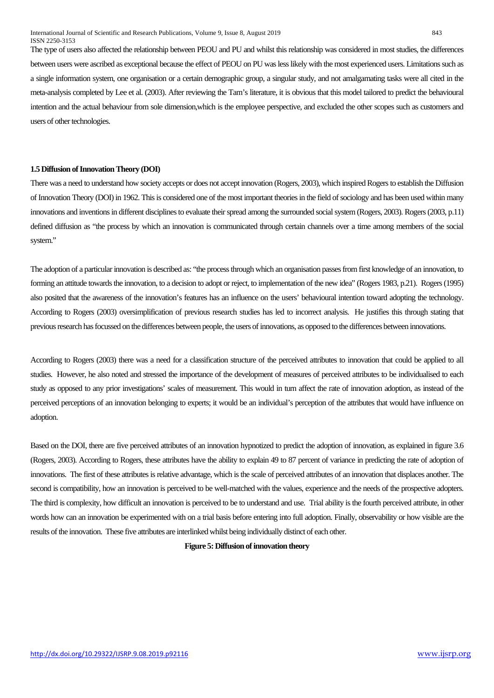The type of users also affected the relationship between PEOU and PU and whilst this relationship was considered in most studies, the differences between users were ascribed as exceptional because the effect of PEOU on PU was lesslikely with the most experienced users. Limitations such as a single information system, one organisation or a certain demographic group, a singular study, and not amalgamating tasks were all cited in the meta-analysis completed by Lee et al. (2003). After reviewing the Tam's literature, it is obvious that this model tailored to predict the behavioural intention and the actual behaviour from sole dimension,which is the employee perspective, and excluded the other scopes such as customers and users of other technologies.

### **1.5 Diffusion of Innovation Theory (DOI)**

There was a need to understand how society accepts or does not accept innovation (Rogers, 2003), which inspired Rogers to establish the Diffusion of Innovation Theory (DOI) in 1962. This is considered one of the most important theories in the field of sociology and has been used within many innovations and inventions in different disciplines to evaluate their spread among the surrounded social system (Rogers, 2003). Rogers (2003, p.11) defined diffusion as "the process by which an innovation is communicated through certain channels over a time among members of the social system."

The adoption of a particular innovation is described as: "the process through which an organisation passes from first knowledge of an innovation, to forming an attitude towards the innovation, to a decision to adopt or reject, to implementation of the new idea" (Rogers 1983, p.21). Rogers (1995) also posited that the awareness of the innovation's features has an influence on the users' behavioural intention toward adopting the technology. According to Rogers (2003) oversimplification of previous research studies has led to incorrect analysis. He justifies this through stating that previous research has focussed on the differences between people, the users of innovations, as opposed to the differences between innovations.

According to Rogers (2003) there was a need for a classification structure of the perceived attributes to innovation that could be applied to all studies. However, he also noted and stressed the importance of the development of measures of perceived attributes to be individualised to each study as opposed to any prior investigations' scales of measurement. This would in turn affect the rate of innovation adoption, as instead of the perceived perceptions of an innovation belonging to experts; it would be an individual's perception of the attributes that would have influence on adoption.

Based on the DOI, there are five perceived attributes of an innovation hypnotized to predict the adoption of innovation, as explained in figure 3.6 (Rogers, 2003). According to Rogers, these attributes have the ability to explain 49 to 87 percent of variance in predicting the rate of adoption of innovations. The first of these attributes is relative advantage, which is the scale of perceived attributes of an innovation that displaces another. The second is compatibility, how an innovation is perceived to be well-matched with the values, experience and the needs of the prospective adopters. The third is complexity, how difficult an innovation is perceived to be to understand and use. Trial ability is the fourth perceived attribute, in other words how can an innovation be experimented with on a trial basis before entering into full adoption. Finally, observability or how visible are the results of the innovation. These five attributes are interlinked whilst being individually distinct of each other.

#### **Figure 5: Diffusion of innovation theory**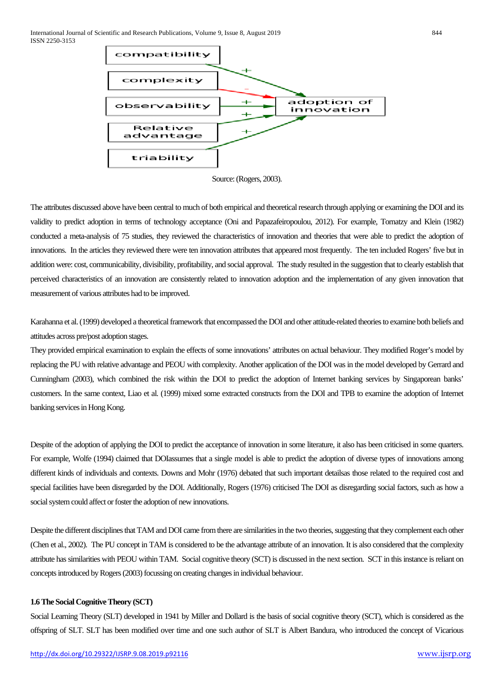

Source: (Rogers, 2003).

The attributes discussed above have been central to much of both empirical and theoretical research through applying or examining the DOI and its validity to predict adoption in terms of technology acceptance (Oni and Papazafeiropoulou, 2012). For example, Tornatzy and Klein (1982) conducted a meta-analysis of 75 studies, they reviewed the characteristics of innovation and theories that were able to predict the adoption of innovations. In the articles they reviewed there were ten innovation attributes that appeared most frequently. The ten included Rogers' five but in addition were: cost, communicability, divisibility, profitability, and social approval. The study resulted in the suggestion that to clearly establish that perceived characteristics of an innovation are consistently related to innovation adoption and the implementation of any given innovation that measurement of various attributes had to be improved.

Karahanna et al. (1999) developed a theoretical framework that encompassed the DOI and other attitude-related theories to examine both beliefs and attitudes across pre/post adoption stages.

They provided empirical examination to explain the effects of some innovations' attributes on actual behaviour. They modified Roger's model by replacing the PU with relative advantage and PEOU with complexity. Another application of the DOI was in the model developed by Gerrard and Cunningham (2003), which combined the risk within the DOI to predict the adoption of Internet banking services by Singaporean banks' customers. In the same context, Liao et al. (1999) mixed some extracted constructs from the DOI and TPB to examine the adoption of Internet banking services in Hong Kong.

Despite of the adoption of applying the DOI to predict the acceptance of innovation in some literature, it also has been criticised in some quarters. For example, Wolfe (1994) claimed that DOIassumes that a single model is able to predict the adoption of diverse types of innovations among different kinds of individuals and contexts. Downs and Mohr (1976) debated that such important detailsas those related to the required cost and special facilities have been disregarded by the DOI. Additionally, Rogers (1976) criticised The DOI as disregarding social factors, such as how a social system could affect or foster the adoption of new innovations.

Despite the different disciplines that TAM and DOI came from there are similarities in the two theories, suggesting that they complement each other (Chen et al., 2002). The PU concept in TAM is considered to be the advantage attribute of an innovation. It is also considered that the complexity attribute has similarities with PEOU within TAM. Social cognitive theory (SCT) is discussed in the next section. SCT in this instance is reliant on concepts introduced by Rogers (2003) focussing on creating changes in individual behaviour.

### **1.6 The Social Cognitive Theory (SCT)**

Social Learning Theory (SLT) developed in 1941 by Miller and Dollard is the basis of social cognitive theory (SCT), which is considered as the offspring of SLT. SLT has been modified over time and one such author of SLT is Albert Bandura, who introduced the concept of Vicarious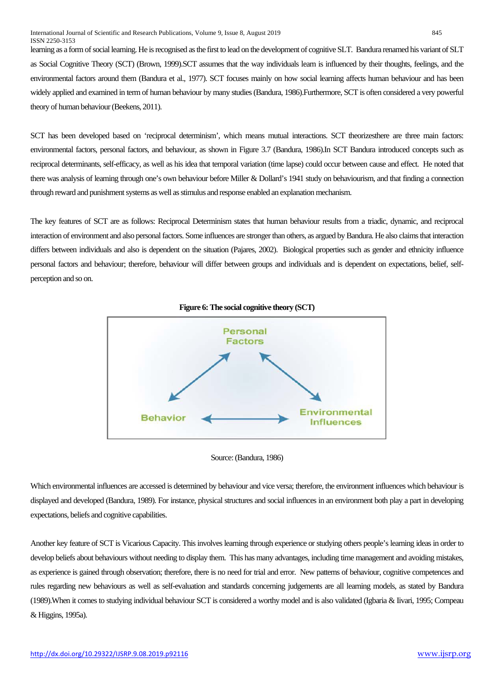learning as a form of social learning. He is recognised as the first to lead on the development of cognitive SLT. Bandura renamed his variant of SLT as Social Cognitive Theory (SCT) (Brown, 1999).SCT assumes that the way individuals learn is influenced by their thoughts, feelings, and the environmental factors around them (Bandura et al., 1977). SCT focuses mainly on how social learning affects human behaviour and has been widely applied and examined in term of human behaviour by many studies (Bandura, 1986).Furthermore, SCT is often considered a very powerful theory of human behaviour (Beekens, 2011).

SCT has been developed based on 'reciprocal determinism', which means mutual interactions. SCT theorizesthere are three main factors: environmental factors, personal factors, and behaviour, as shown in Figure 3.7 (Bandura, 1986).In SCT Bandura introduced concepts such as reciprocal determinants, self-efficacy, as well as his idea that temporal variation (time lapse) could occur between cause and effect. He noted that there was analysis of learning through one's own behaviour before Miller & Dollard's 1941 study on behaviourism, and that finding a connection through reward and punishment systems as well as stimulus and response enabled an explanation mechanism.

The key features of SCT are as follows: Reciprocal Determinism states that human behaviour results from a triadic, dynamic, and reciprocal interaction of environment and also personal factors. Some influences are stronger than others, as argued by Bandura. He also claims that interaction differs between individuals and also is dependent on the situation (Pajares, 2002). Biological properties such as gender and ethnicity influence personal factors and behaviour; therefore, behaviour will differ between groups and individuals and is dependent on expectations, belief, selfperception and so on.







Which environmental influences are accessed is determined by behaviour and vice versa; therefore, the environment influences which behaviour is displayed and developed (Bandura, 1989). For instance, physical structures and social influences in an environment both play a part in developing expectations, beliefs and cognitive capabilities.

Another key feature of SCT is Vicarious Capacity. This involves learning through experience or studying others people's learning ideas in order to develop beliefs about behaviours without needing to display them. This has many advantages, including time management and avoiding mistakes, as experience is gained through observation; therefore, there is no need for trial and error. New patterns of behaviour, cognitive competences and rules regarding new behaviours as well as self-evaluation and standards concerning judgements are all learning models, as stated by Bandura (1989).When it comes to studying individual behaviour SCT is considered a worthy model and is also validated (Igbaria & Iivari, 1995; Compeau & Higgins, 1995a).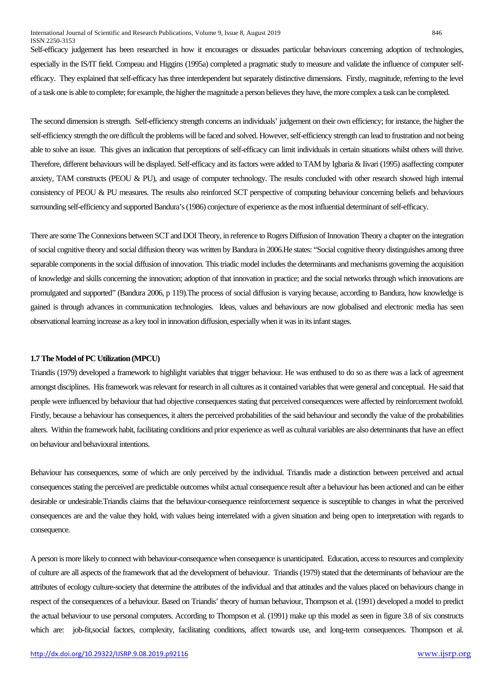#### International Journal of Scientific and Research Publications, Volume 9, Issue 8, August 2019 846 ISSN 2250-3153

Self-efficacy judgement has been researched in how it encourages or dissuades particular behaviours concerning adoption of technologies, especially in the IS/IT field. Compeau and Higgins (1995a) completed a pragmatic study to measure and validate the influence of computer selfefficacy. They explained that self-efficacy has three interdependent but separately distinctive dimensions. Firstly, magnitude, referring to the level of a task one is able to complete; for example, the higher the magnitude a person believes they have, the more complex a task can be completed.

The second dimension is strength. Self-efficiency strength concerns an individuals' judgement on their own efficiency; for instance, the higher the self-efficiency strength the ore difficult the problems will be faced and solved. However, self-efficiency strength can lead to frustration and not being able to solve an issue. This gives an indication that perceptions of self-efficacy can limit individuals in certain situations whilst others will thrive. Therefore, different behaviours will be displayed. Self-efficacy and its factors were added to TAM by Igbaria & Iivari (1995) asaffecting computer anxiety, TAM constructs (PEOU & PU), and usage of computer technology. The results concluded with other research showed high internal consistency of PEOU & PU measures. The results also reinforced SCT perspective of computing behaviour concerning beliefs and behaviours surrounding self-efficiency and supported Bandura's (1986) conjecture of experience as the most influential determinant of self-efficacy.

There are some The Connexions between SCT and DOI Theory, in reference to Rogers Diffusion of Innovation Theory a chapter on the integration of social cognitive theory and social diffusion theory was written by Bandura in 2006.He states: "Social cognitive theory distinguishes among three separable components in the social diffusion of innovation. This triadic model includes the determinants and mechanisms governing the acquisition of knowledge and skills concerning the innovation; adoption of that innovation in practice; and the social networks through which innovations are promulgated and supported" (Bandura 2006, p 119).The process of social diffusion is varying because, according to Bandura, how knowledge is gained is through advances in communication technologies. Ideas, values and behaviours are now globalised and electronic media has seen observational learning increase as a key tool in innovation diffusion, especially when it was in its infant stages.

#### **1.7 The Model of PC Utilization (MPCU)**

Triandis (1979) developed a framework to highlight variables that trigger behaviour. He was enthused to do so as there was a lack of agreement amongst disciplines. His framework was relevant for research in all cultures as it contained variables that were general and conceptual. He said that people were influenced by behaviour that had objective consequences stating that perceived consequences were affected by reinforcement twofold. Firstly, because a behaviour has consequences, it alters the perceived probabilities of the said behaviour and secondly the value of the probabilities alters. Within the framework habit, facilitating conditions and prior experience as well as cultural variables are also determinants that have an effect on behaviour and behavioural intentions.

Behaviour has consequences, some of which are only perceived by the individual. Triandis made a distinction between perceived and actual consequences stating the perceived are predictable outcomes whilst actual consequence result after a behaviour has been actioned and can be either desirable or undesirable.Triandis claims that the behaviour-consequence reinforcement sequence is susceptible to changes in what the perceived consequences are and the value they hold, with values being interrelated with a given situation and being open to interpretation with regards to consequence.

A person is more likely to connect with behaviour-consequence when consequence is unanticipated. Education, access to resources and complexity of culture are all aspects of the framework that ad the development of behaviour. Triandis (1979) stated that the determinants of behaviour are the attributes of ecology culture-society that determine the attributes of the individual and that attitudes and the values placed on behaviours change in respect of the consequences of a behaviour. Based on Triandis' theory of human behaviour, Thompson et al. (1991) developed a model to predict the actual behaviour to use personal computers. According to Thompson et al. (1991) make up this model as seen in figure 3.8 of six constructs which are: job-fit,social factors, complexity, facilitating conditions, affect towards use, and long-term consequences. Thompson et al.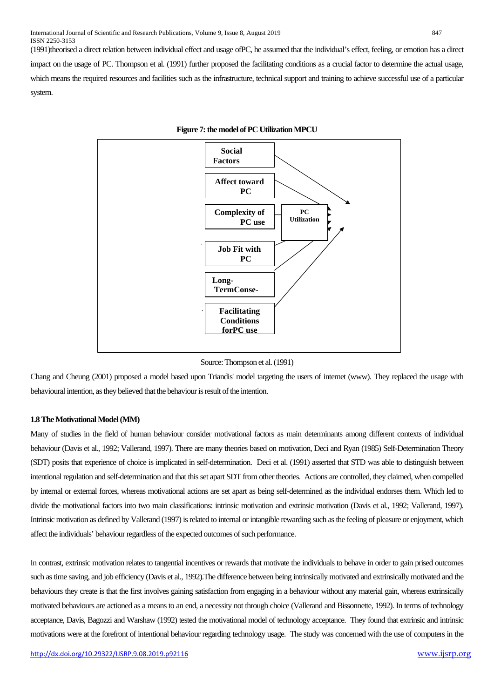(1991)theorised a direct relation between individual effect and usage ofPC, he assumed that the individual's effect, feeling, or emotion has a direct impact on the usage of PC. Thompson et al. (1991) further proposed the facilitating conditions as a crucial factor to determine the actual usage, which means the required resources and facilities such as the infrastructure, technical support and training to achieve successful use of a particular system.



#### **Figure 7: the model of PC Utilization MPCU**

Source: Thompson et al. (1991)

Chang and Cheung (2001) proposed a model based upon Triandis' model targeting the users of internet (www). They replaced the usage with behavioural intention, as they believed that the behaviour is result of the intention.

#### **1.8 The Motivational Model (MM)**

Many of studies in the field of human behaviour consider motivational factors as main determinants among different contexts of individual behaviour (Davis et al., 1992; Vallerand, 1997). There are many theories based on motivation, Deci and Ryan (1985) Self-Determination Theory (SDT) posits that experience of choice is implicated in self-determination. Deci et al. (1991) asserted that STD was able to distinguish between intentional regulation and self-determination and that this set apart SDT from other theories. Actions are controlled, they claimed, when compelled by internal or external forces, whereas motivational actions are set apart as being self-determined as the individual endorses them. Which led to divide the motivational factors into two main classifications: intrinsic motivation and extrinsic motivation (Davis et al., 1992; Vallerand, 1997). Intrinsic motivation as defined by Vallerand (1997) is related to internal or intangible rewarding such as the feeling of pleasure or enjoyment, which affect the individuals' behaviour regardless of the expected outcomes of such performance.

In contrast, extrinsic motivation relates to tangential incentives or rewards that motivate the individuals to behave in order to gain prised outcomes such as time saving, and job efficiency (Davis et al., 1992).The difference between being intrinsically motivated and extrinsically motivated and the behaviours they create is that the first involves gaining satisfaction from engaging in a behaviour without any material gain, whereas extrinsically motivated behaviours are actioned as a means to an end, a necessity not through choice (Vallerand and Bissonnette, 1992). In terms of technology acceptance, Davis, Bagozzi and Warshaw (1992) tested the motivational model of technology acceptance. They found that extrinsic and intrinsic motivations were at the forefront of intentional behaviour regarding technology usage. The study was concerned with the use of computers in the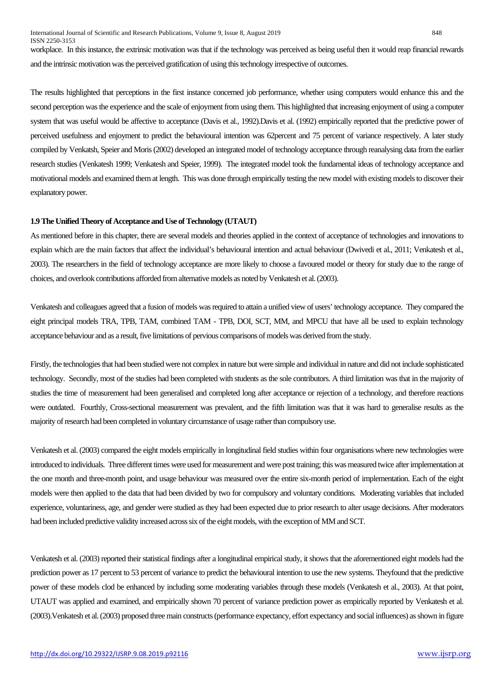International Journal of Scientific and Research Publications, Volume 9, Issue 8, August 2019 848 ISSN 2250-3153

workplace. In this instance, the extrinsic motivation was that if the technology was perceived as being useful then it would reap financial rewards and the intrinsic motivation was the perceived gratification of using this technology irrespective of outcomes.

The results highlighted that perceptions in the first instance concerned job performance, whether using computers would enhance this and the second perception was the experience and the scale of enjoyment from using them. This highlighted that increasing enjoyment of using a computer system that was useful would be affective to acceptance (Davis et al., 1992).Davis et al. (1992) empirically reported that the predictive power of perceived usefulness and enjoyment to predict the behavioural intention was 62percent and 75 percent of variance respectively. A later study compiled by Venkatsh, Speier and Moris (2002) developed an integrated model of technology acceptance through reanalysing data from the earlier research studies (Venkatesh 1999; Venkatesh and Speier, 1999). The integrated model took the fundamental ideas of technology acceptance and motivational models and examined them at length. This was done through empirically testing the new model with existing models to discover their explanatory power.

## **1.9 The Unified Theory of Acceptance and Use of Technology (UTAUT)**

As mentioned before in this chapter, there are several models and theories applied in the context of acceptance of technologies and innovations to explain which are the main factors that affect the individual's behavioural intention and actual behaviour (Dwivedi et al., 2011; Venkatesh et al., 2003). The researchers in the field of technology acceptance are more likely to choose a favoured model or theory for study due to the range of choices, and overlook contributions afforded from alternative models as noted by Venkatesh et al. (2003).

Venkatesh and colleagues agreed that a fusion of models was required to attain a unified view of users' technology acceptance. They compared the eight principal models TRA, TPB, TAM, combined TAM - TPB, DOI, SCT, MM, and MPCU that have all be used to explain technology acceptance behaviour and as a result, five limitations of pervious comparisons of models was derived from the study.

Firstly, the technologies that had been studied were not complex in nature but were simple and individual in nature and did not include sophisticated technology. Secondly, most of the studies had been completed with students as the sole contributors. A third limitation was that in the majority of studies the time of measurement had been generalised and completed long after acceptance or rejection of a technology, and therefore reactions were outdated. Fourthly, Cross-sectional measurement was prevalent, and the fifth limitation was that it was hard to generalise results as the majority of research had been completed in voluntary circumstance of usage rather than compulsory use.

Venkatesh et al. (2003) compared the eight models empirically in longitudinal field studies within four organisations where new technologies were introduced to individuals. Three different times were used for measurement and were post training; this was measured twice after implementation at the one month and three-month point, and usage behaviour was measured over the entire six-month period of implementation. Each of the eight models were then applied to the data that had been divided by two for compulsory and voluntary conditions. Moderating variables that included experience, voluntariness, age, and gender were studied as they had been expected due to prior research to alter usage decisions. After moderators had been included predictive validity increased across six of the eight models, with the exception of MM and SCT.

Venkatesh et al. (2003) reported their statistical findings after a longitudinal empirical study, it shows that the aforementioned eight models had the prediction power as 17 percent to 53 percent of variance to predict the behavioural intention to use the new systems. Theyfound that the predictive power of these models clod be enhanced by including some moderating variables through these models (Venkatesh et al., 2003). At that point, UTAUT was applied and examined, and empirically shown 70 percent of variance prediction power as empirically reported by Venkatesh et al. (2003).Venkatesh et al. (2003) proposed three main constructs (performance expectancy, effort expectancy and social influences) as shown in figure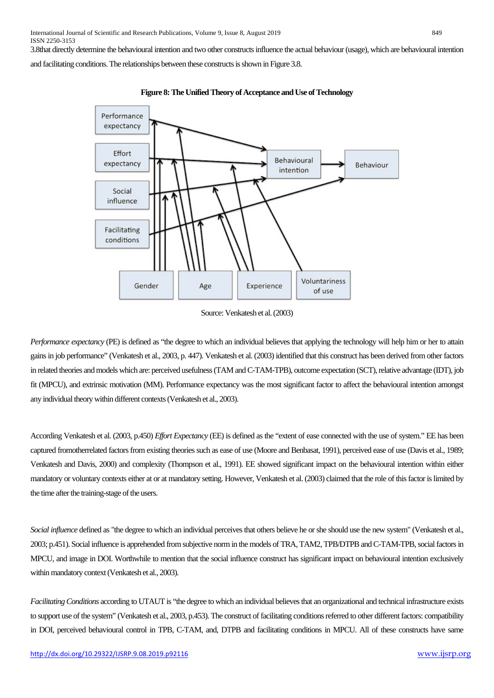3.8that directly determine the behavioural intention and two other constructs influence the actual behaviour (usage), which are behavioural intention

and facilitating conditions.The relationships between these constructs is shown in Figure 3.8.



**Figure 8: The Unified Theory of Acceptance and Use of Technology**

*Performance expectancy* (PE) is defined as "the degree to which an individual believes that applying the technology will help him or her to attain gains in job performance" (Venkatesh et al., 2003, p. 447). Venkatesh et al. (2003) identified that this construct has been derived from other factors in related theories and models which are: perceived usefulness (TAM and C-TAM-TPB), outcome expectation (SCT), relative advantage (IDT), job fit (MPCU), and extrinsic motivation (MM). Performance expectancy was the most significant factor to affect the behavioural intention amongst any individual theory within different contexts (Venkatesh et al., 2003).

According Venkatesh et al. (2003, p.450) *Effort Expectancy* (EE) is defined as the "extent of ease connected with the use of system." EE has been captured fromotherrelated factors from existing theories such as ease of use (Moore and Benbasat, 1991), perceived ease of use (Davis et al., 1989; Venkatesh and Davis, 2000) and complexity (Thompson et al., 1991). EE showed significant impact on the behavioural intention within either mandatory or voluntary contexts either at or at mandatory setting. However, Venkatesh et al. (2003) claimed that the role of this factor is limited by the time after the training-stage of the users.

*Social influence* defined as "the degree to which an individual perceives that others believe he or she should use the new system" (Venkatesh et al., 2003; p.451). Social influence is apprehended from subjective norm in the models of TRA, TAM2, TPB/DTPB and C-TAM-TPB, social factors in MPCU, and image in DOI. Worthwhile to mention that the social influence construct has significant impact on behavioural intention exclusively within mandatory context (Venkatesh et al., 2003).

*Facilitating Conditions* according to UTAUT is "the degree to which an individual believes that an organizational and technical infrastructure exists to support use of the system" (Venkatesh et al., 2003, p.453). The construct of facilitating conditions referred to other different factors: compatibility in DOI, perceived behavioural control in TPB, C-TAM, and, DTPB and facilitating conditions in MPCU. All of these constructs have same

Source: Venkatesh et al. (2003)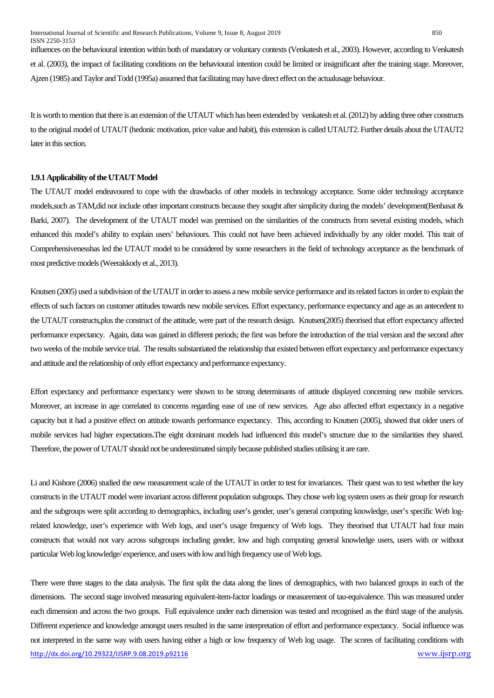influences on the behavioural intention within both of mandatory or voluntary contexts (Venkatesh et al., 2003). However, according to Venkatesh et al. (2003), the impact of facilitating conditions on the behavioural intention could be limited or insignificant after the training stage. Moreover, Ajzen (1985) and Taylor and Todd (1995a) assumed that facilitating may have direct effect on the actualusage behaviour.

It is worth to mention that there is an extension of the UTAUT which has been extended by venkatesh et al. (2012) by adding three other constructs to the original model of UTAUT (hedonic motivation, price value and habit), this extension is called UTAUT2. Further details about the UTAUT2 later in this section.

# **1.9.1 Applicability of the UTAUT Model**

The UTAUT model endeavoured to cope with the drawbacks of other models in technology acceptance. Some older technology acceptance models,such as TAM,did not include other important constructs because they sought after simplicity during the models' development(Benbasat & Barki, 2007). The development of the UTAUT model was premised on the similarities of the constructs from several existing models, which enhanced this model's ability to explain users' behaviours. This could not have been achieved individually by any older model. This trait of Comprehensivenesshas led the UTAUT model to be considered by some researchers in the field of technology acceptance as the benchmark of most predictive models (Weerakkody et al., 2013).

Knutsen (2005) used a subdivision of the UTAUT in order to assess a new mobile service performance and its related factors in order to explain the effects of such factors on customer attitudes towards new mobile services. Effort expectancy, performance expectancy and age as an antecedent to the UTAUT constructs,plus the construct of the attitude, were part of the research design. Knutsen(2005) theorised that effort expectancy affected performance expectancy. Again, data was gained in different periods; the first was before the introduction of the trial version and the second after two weeks of the mobile service trial. The results substantiated the relationship that existed between effort expectancy and performance expectancy and attitude and the relationship of only effort expectancy and performance expectancy.

Effort expectancy and performance expectancy were shown to be strong determinants of attitude displayed concerning new mobile services. Moreover, an increase in age correlated to concerns regarding ease of use of new services. Age also affected effort expectancy in a negative capacity but it had a positive effect on attitude towards performance expectancy. This, according to Knutsen (2005), showed that older users of mobile services had higher expectations.The eight dominant models had influenced this model's structure due to the similarities they shared. Therefore, the power of UTAUT should not be underestimated simply because published studies utilising it are rare.

Li and Kishore (2006) studied the new measurement scale of the UTAUT in order to test for invariances. Their quest was to test whether the key constructs in the UTAUT model were invariant across different population subgroups. They chose web log system users as their group for research and the subgroups were split according to demographics, including user's gender, user's general computing knowledge, user's specific Web logrelated knowledge, user's experience with Web logs, and user's usage frequency of Web logs. They theorised that UTAUT had four main constructs that would not vary across subgroups including gender, low and high computing general knowledge users, users with or without particular Web log knowledge/ experience, and users with low and high frequency use of Web logs.

<http://dx.doi.org/10.29322/IJSRP.9.08.2019.p92116> [www.ijsrp.org](http://ijsrp.org/) There were three stages to the data analysis. The first split the data along the lines of demographics, with two balanced groups in each of the dimensions. The second stage involved measuring equivalent-item-factor loadings or measurement of tau-equivalence. This was measured under each dimension and across the two groups. Full equivalence under each dimension was tested and recognised as the third stage of the analysis. Different experience and knowledge amongst users resulted in the same interpretation of effort and performance expectancy. Social influence was not interpreted in the same way with users having either a high or low frequency of Web log usage. The scores of facilitating conditions with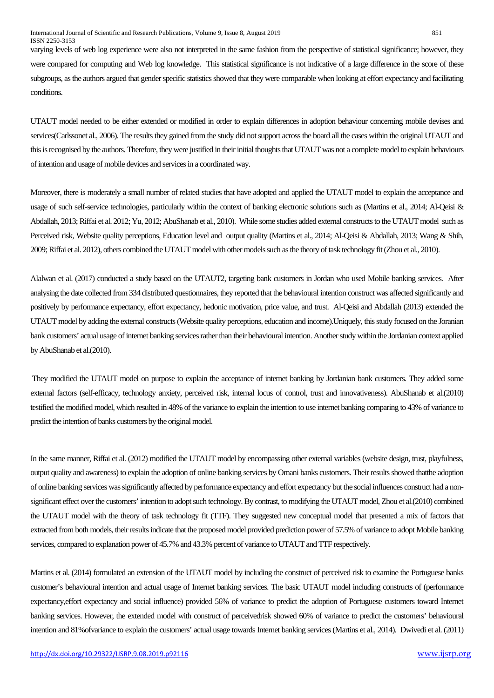varying levels of web log experience were also not interpreted in the same fashion from the perspective of statistical significance; however, they were compared for computing and Web log knowledge. This statistical significance is not indicative of a large difference in the score of these subgroups, as the authors argued that gender specific statistics showed that they were comparable when looking at effort expectancy and facilitating conditions.

UTAUT model needed to be either extended or modified in order to explain differences in adoption behaviour concerning mobile devises and services(Carlssonet al., 2006). The results they gained from the study did not support across the board all the cases within the original UTAUT and this is recognised by the authors. Therefore, they were justified in their initial thoughts that UTAUT was not a complete model to explain behaviours of intention and usage of mobile devices and services in a coordinated way.

Moreover, there is moderately a small number of related studies that have adopted and applied the UTAUT model to explain the acceptance and usage of such self-service technologies, particularly within the context of banking electronic solutions such as (Martins et al., 2014; Al-Qeisi & Abdallah, 2013; Riffai et al. 2012; Yu, 2012; AbuShanab et al., 2010). While some studies added external constructs to the UTAUT model such as Perceived risk, Website quality perceptions, Education level and output quality (Martins et al., 2014; Al-Qeisi & Abdallah, 2013; Wang & Shih, 2009; Riffai et al. 2012), others combined the UTAUT model with other models such as the theory of task technology fit (Zhou et al., 2010).

Alalwan et al. (2017) conducted a study based on the UTAUT2, targeting bank customers in Jordan who used Mobile banking services. After analysing the date collected from 334 distributed questionnaires, they reported that the behavioural intention construct was affected significantly and positively by performance expectancy, effort expectancy, hedonic motivation, price value, and trust. Al-Qeisi and Abdallah (2013) extended the UTAUT model by adding the external constructs (Website quality perceptions, education and income).Uniquely, this study focused on the Joranian bank customers' actual usage of internet banking services rather than their behavioural intention. Another study within the Jordanian context applied by AbuShanab et al.(2010).

They modified the UTAUT model on purpose to explain the acceptance of internet banking by Jordanian bank customers. They added some external factors (self-efficacy, technology anxiety, perceived risk, internal locus of control, trust and innovativeness). AbuShanab et al.(2010) testified the modified model, which resulted in 48% of the variance to explain the intention to use internet banking comparing to 43% of variance to predict the intention of banks customers by the original model.

In the same manner, Riffai et al. (2012) modified the UTAUT model by encompassing other external variables (website design, trust, playfulness, output quality and awareness) to explain the adoption of online banking services by Omani banks customers. Their results showed thatthe adoption of online banking services was significantly affected by performance expectancy and effort expectancy but the social influences construct had a nonsignificant effect over the customers' intention to adopt such technology. By contrast, to modifying the UTAUT model, Zhou et al.(2010) combined the UTAUT model with the theory of task technology fit (TTF). They suggested new conceptual model that presented a mix of factors that extracted from both models, their results indicate that the proposed model provided prediction power of 57.5% of variance to adopt Mobile banking services, compared to explanation power of 45.7% and 43.3% percent of variance to UTAUT and TTF respectively.

Martins et al. (2014) formulated an extension of the UTAUT model by including the construct of perceived risk to examine the Portuguese banks customer's behavioural intention and actual usage of Internet banking services. The basic UTAUT model including constructs of (performance expectancy,effort expectancy and social influence) provided 56% of variance to predict the adoption of Portuguese customers toward Internet banking services. However, the extended model with construct of perceivedrisk showed 60% of variance to predict the customers' behavioural intention and 81%ofvariance to explain the customers' actual usage towards Internet banking services (Martins et al., 2014). Dwivedi et al. (2011)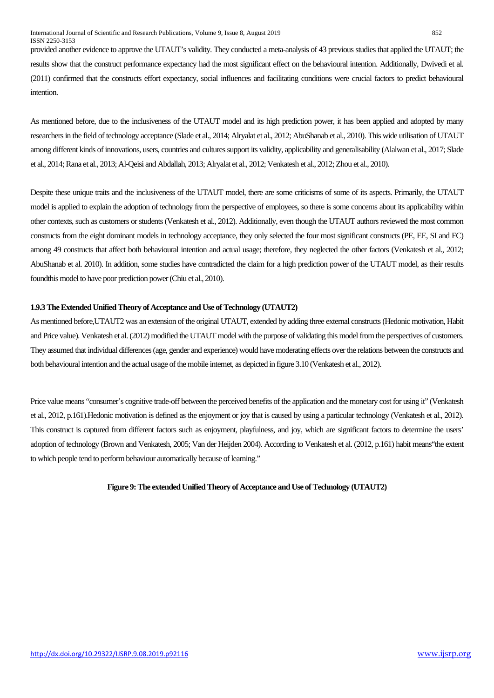provided another evidence to approve the UTAUT's validity. They conducted a meta-analysis of 43 previous studies that applied the UTAUT; the results show that the construct performance expectancy had the most significant effect on the behavioural intention. Additionally, Dwivedi et al. (2011) confirmed that the constructs effort expectancy, social influences and facilitating conditions were crucial factors to predict behavioural intention.

As mentioned before, due to the inclusiveness of the UTAUT model and its high prediction power, it has been applied and adopted by many researchers in the field of technology acceptance (Slade et al., 2014; Alryalat et al., 2012; AbuShanab et al., 2010). This wide utilisation of UTAUT among different kinds of innovations, users, countries and cultures support its validity, applicability and generalisability (Alalwan et al., 2017; Slade et al., 2014; Rana et al., 2013; Al-Qeisi and Abdallah, 2013; Alryalat et al., 2012; Venkatesh et al., 2012; Zhou et al., 2010).

Despite these unique traits and the inclusiveness of the UTAUT model, there are some criticisms of some of its aspects. Primarily, the UTAUT model is applied to explain the adoption of technology from the perspective of employees, so there is some concerns about its applicability within other contexts, such as customers or students (Venkatesh et al., 2012). Additionally, even though the UTAUT authors reviewed the most common constructs from the eight dominant models in technology acceptance, they only selected the four most significant constructs (PE, EE, SI and FC) among 49 constructs that affect both behavioural intention and actual usage; therefore, they neglected the other factors (Venkatesh et al., 2012; AbuShanab et al. 2010). In addition, some studies have contradicted the claim for a high prediction power of the UTAUT model, as their results foundthis model to have poor prediction power (Chiu et al., 2010).

### **1.9.3The Extended Unified Theory of Acceptance and Use of Technology (UTAUT2)**

As mentioned before,UTAUT2 was an extension of the original UTAUT, extended by adding three external constructs (Hedonic motivation, Habit and Price value). Venkatesh et al. (2012) modified the UTAUT model with the purpose of validating this model from the perspectives of customers. They assumed that individual differences (age, gender and experience) would have moderating effects over the relations between the constructs and both behavioural intention and the actual usage of the mobile internet, as depicted in figure 3.10 (Venkatesh et al., 2012).

Price value means "consumer's cognitive trade-off between the perceived benefits of the application and the monetary cost for using it" (Venkatesh et al., 2012, p.161).Hedonic motivation is defined as the enjoyment or joy that is caused by using a particular technology (Venkatesh et al., 2012). This construct is captured from different factors such as enjoyment, playfulness, and joy, which are significant factors to determine the users' adoption of technology (Brown and Venkatesh, 2005; Van der Heijden 2004). According to Venkatesh et al. (2012, p.161) habit means"the extent to which people tend to perform behaviour automatically because of learning."

#### **Figure 9: The extended Unified Theory of Acceptance and Use of Technology (UTAUT2)**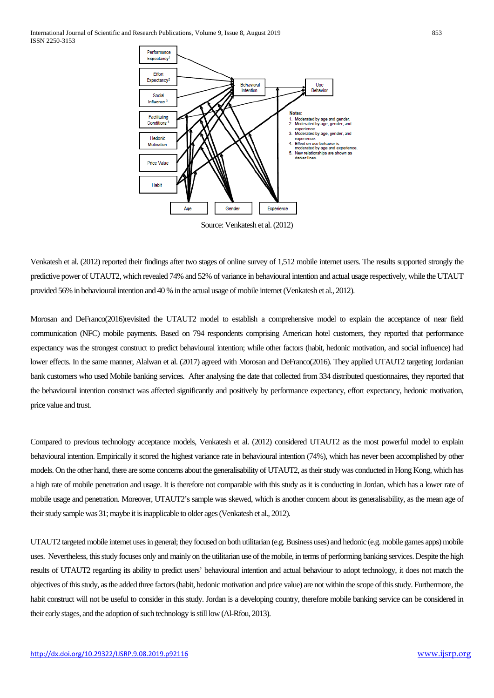

Source: Venkatesh et al. (2012)

Venkatesh et al. (2012) reported their findings after two stages of online survey of 1,512 mobile internet users. The results supported strongly the predictive power of UTAUT2, which revealed 74% and 52% of variance in behavioural intention and actual usage respectively, while the UTAUT provided 56% in behavioural intention and 40 % in the actual usage of mobile internet (Venkatesh et al., 2012).

Morosan and DeFranco(2016)revisited the UTAUT2 model to establish a comprehensive model to explain the acceptance of near field communication (NFC) mobile payments. Based on 794 respondents comprising American hotel customers, they reported that performance expectancy was the strongest construct to predict behavioural intention; while other factors (habit, hedonic motivation, and social influence) had lower effects. In the same manner, Alalwan et al. (2017) agreed with Morosan and DeFranco(2016). They applied UTAUT2 targeting Jordanian bank customers who used Mobile banking services. After analysing the date that collected from 334 distributed questionnaires, they reported that the behavioural intention construct was affected significantly and positively by performance expectancy, effort expectancy, hedonic motivation, price value and trust.

Compared to previous technology acceptance models, Venkatesh et al. (2012) considered UTAUT2 as the most powerful model to explain behavioural intention. Empirically it scored the highest variance rate in behavioural intention (74%), which has never been accomplished by other models. On the other hand, there are some concerns about the generalisability of UTAUT2, as their study was conducted in Hong Kong, which has a high rate of mobile penetration and usage. It is therefore not comparable with this study as it is conducting in Jordan, which has a lower rate of mobile usage and penetration. Moreover, UTAUT2's sample was skewed, which is another concern about its generalisability, as the mean age of their study sample was 31; maybe it is inapplicable to older ages (Venkatesh et al., 2012).

UTAUT2 targetedmobile internet uses in general; they focused on both utilitarian (e.g. Business uses) and hedonic (e.g. mobile games apps) mobile uses. Nevertheless, this study focuses only and mainly on the utilitarian use of the mobile, in terms of performing banking services. Despite the high results of UTAUT2 regarding its ability to predict users' behavioural intention and actual behaviour to adopt technology, it does not match the objectives of this study, as the added three factors (habit, hedonic motivation and price value) are not within the scope of this study. Furthermore, the habit construct will not be useful to consider in this study. Jordan is a developing country, therefore mobile banking service can be considered in their early stages, and the adoption of such technology is still low (Al-Rfou, 2013).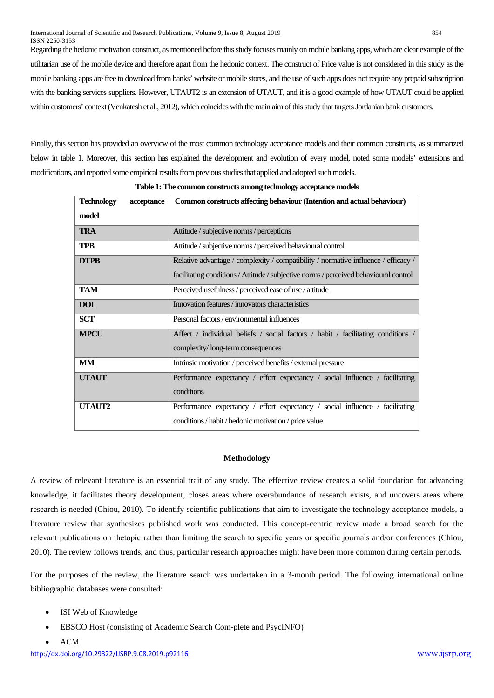Regarding the hedonic motivation construct, as mentioned before this study focuses mainly on mobile banking apps, which are clear example of the utilitarian use of the mobile device and therefore apart from the hedonic context. The construct of Price value is not considered in this study as the mobile banking apps are free to download from banks' website or mobile stores, and the use of such apps does not require any prepaid subscription with the banking services suppliers. However, UTAUT2 is an extension of UTAUT, and it is a good example of how UTAUT could be applied within customers' context (Venkatesh et al., 2012), which coincides with the main aim of this study that targets Jordanian bank customers.

Finally, this section has provided an overview of the most common technology acceptance models and their common constructs, as summarized below in table 1. Moreover, this section has explained the development and evolution of every model, noted some models' extensions and modifications, and reported some empirical results from previous studies that applied and adopted such models.

| <b>Technology</b><br>acceptance | Common constructs affecting behaviour (Intention and actual behaviour)                |
|---------------------------------|---------------------------------------------------------------------------------------|
| model                           |                                                                                       |
| <b>TRA</b>                      | Attitude / subjective norms / perceptions                                             |
| <b>TPB</b>                      | Attitude / subjective norms / perceived behavioural control                           |
| <b>DTPB</b>                     | Relative advantage / complexity / compatibility / normative influence / efficacy /    |
|                                 | facilitating conditions / Attitude / subjective norms / perceived behavioural control |
| <b>TAM</b>                      | Perceived usefulness / perceived ease of use / attitude                               |
| <b>DOI</b>                      | Innovation features / innovators characteristics                                      |
| <b>SCT</b>                      | Personal factors / environmental influences                                           |
| <b>MPCU</b>                     | Affect / individual beliefs / social factors / habit / facilitating conditions /      |
|                                 | complexity/long-term consequences                                                     |
| <b>MM</b>                       | Intrinsic motivation / perceived benefits / external pressure                         |
| <b>UTAUT</b>                    | Performance expectancy / effort expectancy / social influence / facilitating          |
|                                 | conditions                                                                            |
| UTAUT2                          | Performance expectancy / effort expectancy / social influence / facilitating          |
|                                 | conditions / habit / hedonic motivation / price value                                 |

**Table 1: The common constructs among technology acceptance models**

### **Methodology**

A review of relevant literature is an essential trait of any study. The effective review creates a solid foundation for advancing knowledge; it facilitates theory development, closes areas where overabundance of research exists, and uncovers areas where research is needed (Chiou, 2010). To identify scientific publications that aim to investigate the technology acceptance models, a literature review that synthesizes published work was conducted. This concept-centric review made a broad search for the relevant publications on thetopic rather than limiting the search to specific years or specific journals and/or conferences (Chiou, 2010). The review follows trends, and thus, particular research approaches might have been more common during certain periods.

For the purposes of the review, the literature search was undertaken in a 3-month period. The following international online bibliographic databases were consulted:

- ISI Web of Knowledge
- EBSCO Host (consisting of Academic Search Com-plete and PsycINFO)
- ACM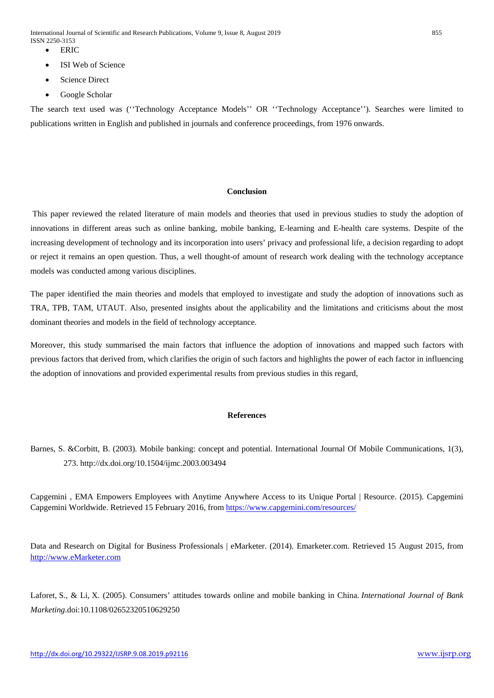International Journal of Scientific and Research Publications, Volume 9, Issue 8, August 2019 855 ISSN 2250-3153

- ERIC
- ISI Web of Science
- Science Direct
- Google Scholar

The search text used was (''Technology Acceptance Models'' OR ''Technology Acceptance''). Searches were limited to publications written in English and published in journals and conference proceedings, from 1976 onwards.

## **Conclusion**

This paper reviewed the related literature of main models and theories that used in previous studies to study the adoption of innovations in different areas such as online banking, mobile banking, E-learning and E-health care systems. Despite of the increasing development of technology and its incorporation into users' privacy and professional life, a decision regarding to adopt or reject it remains an open question. Thus, a well thought-of amount of research work dealing with the technology acceptance models was conducted among various disciplines.

The paper identified the main theories and models that employed to investigate and study the adoption of innovations such as TRA, TPB, TAM, UTAUT. Also, presented insights about the applicability and the limitations and criticisms about the most dominant theories and models in the field of technology acceptance.

Moreover, this study summarised the main factors that influence the adoption of innovations and mapped such factors with previous factors that derived from, which clarifies the origin of such factors and highlights the power of each factor in influencing the adoption of innovations and provided experimental results from previous studies in this regard,

## **References**

Capgemini , EMA Empowers Employees with Anytime Anywhere Access to its Unique Portal | Resource. (2015). Capgemini Capgemini Worldwide. Retrieved 15 February 2016, fro[m https://www.capgemini.com/resources/](https://www.capgemini.com/resources/)

Data and Research on Digital for Business Professionals | eMarketer. (2014). Emarketer.com. Retrieved 15 August 2015, from [http://www.eMarketer.com](http://www.emarketer.com/)

Laforet, S., & Li, X. (2005). Consumers' attitudes towards online and mobile banking in China. *International Journal of Bank Marketing*.doi:10.1108/02652320510629250

Barnes, S. &Corbitt, B. (2003). Mobile banking: concept and potential. International Journal Of Mobile Communications, 1(3), 273. http://dx.doi.org/10.1504/ijmc.2003.003494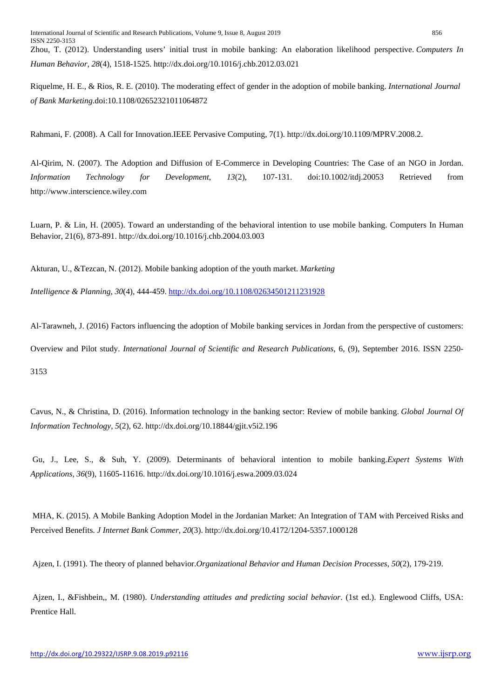Zhou, T. (2012). Understanding users' initial trust in mobile banking: An elaboration likelihood perspective. *Computers In Human Behavior*, *28*(4), 1518-1525. http://dx.doi.org/10.1016/j.chb.2012.03.021

Riquelme, H. E., & Rios, R. E. (2010). The moderating effect of gender in the adoption of mobile banking. *International Journal of Bank Marketing*.doi:10.1108/02652321011064872

Rahmani, F. (2008). A Call for Innovation.IEEE Pervasive Computing, 7(1). http://dx.doi.org/10.1109/MPRV.2008.2.

Al-Qirim, N. (2007). The Adoption and Diffusion of E-Commerce in Developing Countries: The Case of an NGO in Jordan. *Information Technology for Development*, *13*(2), 107-131. doi:10.1002/itdj.20053 Retrieved from http://www.interscience.wiley.com

Luarn, P. & Lin, H. (2005). Toward an understanding of the behavioral intention to use mobile banking. Computers In Human Behavior, 21(6), 873-891. http://dx.doi.org/10.1016/j.chb.2004.03.003

Akturan, U., &Tezcan, N. (2012). Mobile banking adoption of the youth market. *Marketing* 

*Intelligence & Planning*, *30*(4), 444-459.<http://dx.doi.org/10.1108/02634501211231928>

Al-Tarawneh, J. (2016) Factors influencing the adoption of Mobile banking services in Jordan from the perspective of customers:

Overview and Pilot study. *International Journal of Scientific and Research Publications*, 6, (9), September 2016. ISSN 2250-

3153

Cavus, N., & Christina, D. (2016). Information technology in the banking sector: Review of mobile banking. *Global Journal Of Information Technology*, *5*(2), 62. http://dx.doi.org/10.18844/gjit.v5i2.196

Gu, J., Lee, S., & Suh, Y. (2009). Determinants of behavioral intention to mobile banking.*Expert Systems With Applications*, *36*(9), 11605-11616. http://dx.doi.org/10.1016/j.eswa.2009.03.024

MHA, K. (2015). A Mobile Banking Adoption Model in the Jordanian Market: An Integration of TAM with Perceived Risks and Perceived Benefits. *J Internet Bank Commer*, *20*(3). http://dx.doi.org/10.4172/1204-5357.1000128

Ajzen, I. (1991). The theory of planned behavior.*Organizational Behavior and Human Decision Processes*, *50*(2), 179-219.

Ajzen, I., &Fishbein,, M. (1980). *Understanding attitudes and predicting social behavior*. (1st ed.). Englewood Cliffs, USA: Prentice Hall.